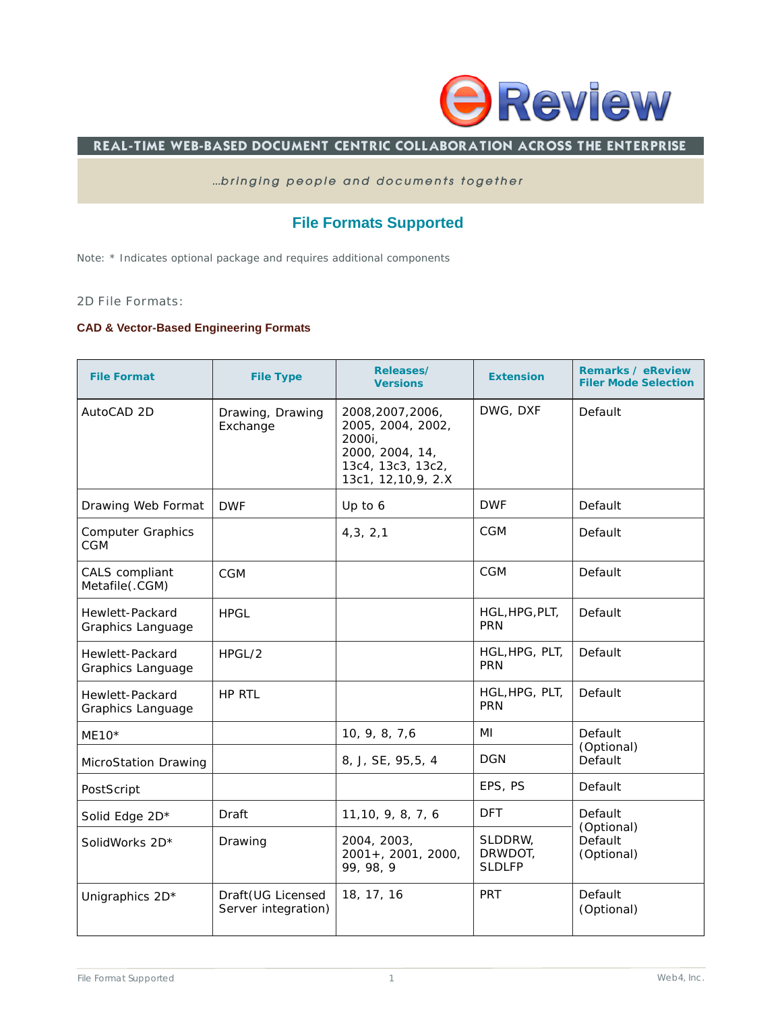

### REAL-TIME WEB-BASED DOCUMENT CENTRIC COLLABORATION ACROSS THE ENTERPRISE

#### *...bringing people and documents together*

# **File Formats Supported**

Note: \* Indicates optional package and requires additional components

#### 2D File Formats:

#### **CAD & Vector-Based Engineering Formats**

| <b>File Format</b>                     | <b>File Type</b>                          | Releases/<br><b>Versions</b>                                                                                     | <b>Extension</b>                    | <b>Remarks / eReview</b><br><b>Filer Mode Selection</b> |
|----------------------------------------|-------------------------------------------|------------------------------------------------------------------------------------------------------------------|-------------------------------------|---------------------------------------------------------|
| AutoCAD 2D                             | Drawing, Drawing<br>Exchange              | 2008, 2007, 2006,<br>2005, 2004, 2002,<br>2000i,<br>2000, 2004, 14,<br>13c4, 13c3, 13c2,<br>13c1, 12, 10, 9, 2.X | DWG, DXF                            | Default                                                 |
| Drawing Web Format                     | <b>DWF</b>                                | Up to 6                                                                                                          | <b>DWF</b>                          | Default                                                 |
| <b>Computer Graphics</b><br><b>CGM</b> |                                           | 4, 3, 2, 1                                                                                                       | CGM                                 | Default                                                 |
| CALS compliant<br>Metafile(.CGM)       | <b>CGM</b>                                |                                                                                                                  | <b>CGM</b>                          | Default                                                 |
| Hewlett-Packard<br>Graphics Language   | <b>HPGL</b>                               |                                                                                                                  | HGL, HPG, PLT,<br><b>PRN</b>        | Default                                                 |
| Hewlett-Packard<br>Graphics Language   | HPGL/2                                    |                                                                                                                  | HGL, HPG, PLT,<br><b>PRN</b>        | Default                                                 |
| Hewlett-Packard<br>Graphics Language   | HP RTL                                    |                                                                                                                  | HGL, HPG, PLT,<br><b>PRN</b>        | Default                                                 |
| $ME10*$                                |                                           | 10, 9, 8, 7,6                                                                                                    | MI                                  | Default                                                 |
| MicroStation Drawing                   |                                           | 8, J, SE, 95,5, 4                                                                                                | <b>DGN</b>                          | (Optional)<br>Default                                   |
| PostScript                             |                                           |                                                                                                                  | EPS, PS                             | Default                                                 |
| Solid Edge 2D*                         | Draft                                     | 11, 10, 9, 8, 7, 6                                                                                               | <b>DFT</b>                          | Default<br>(Optional)                                   |
| SolidWorks 2D*                         | Drawing                                   | 2004, 2003,<br>$2001 + 2001$ , 2000,<br>99, 98, 9                                                                | SLDDRW,<br>DRWDOT,<br><b>SLDLFP</b> | Default<br>(Optional)                                   |
| Unigraphics 2D*                        | Draft (UG Licensed<br>Server integration) | 18, 17, 16                                                                                                       | <b>PRT</b>                          | Default<br>(Optional)                                   |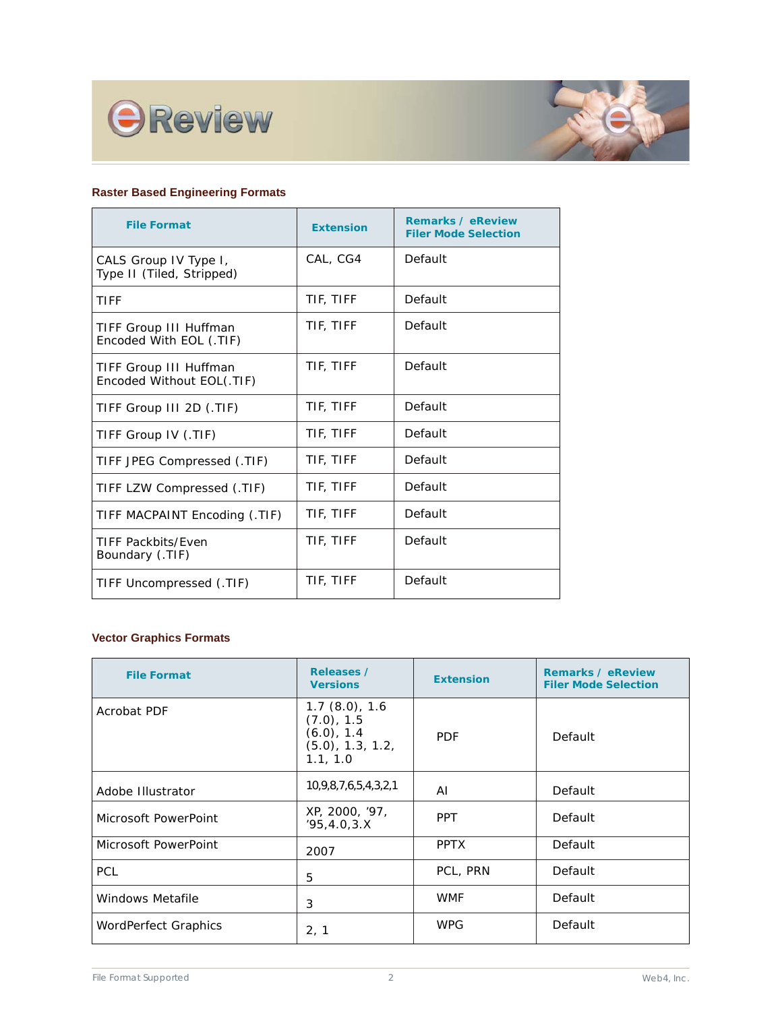



### **Raster Based Engineering Formats**

| <b>File Format</b>                                  | <b>Extension</b> | <b>Remarks / eReview</b><br><b>Filer Mode Selection</b> |
|-----------------------------------------------------|------------------|---------------------------------------------------------|
| CALS Group IV Type I,<br>Type II (Tiled, Stripped)  | CAL, CG4         | Default                                                 |
| TIFF                                                | TIF, TIFF        | Default                                                 |
| TIFF Group III Huffman<br>Encoded With EOL (.TIF)   | TIF, TIFF        | Default                                                 |
| TIFF Group III Huffman<br>Encoded Without EOL(.TIF) | TIF, TIFF        | Default                                                 |
| TIFF Group III 2D (.TIF)                            | TIF, TIFF        | Default                                                 |
| TIFF Group IV (.TIF)                                | TIF, TIFF        | Default                                                 |
| TIFF JPEG Compressed (.TIF)                         | TIF, TIFF        | Default                                                 |
| TIFF LZW Compressed (.TIF)                          | TIF, TIFF        | Default                                                 |
| TIFF MACPAINT Encoding (.TIF)                       | TIF, TIFF        | Default                                                 |
| <b>TIFF Packbits/Even</b><br>Boundary (.TIF)        | TIF, TIFF        | Default                                                 |
| TIFF Uncompressed (.TIF)                            | TIF, TIFF        | Default                                                 |

# **Vector Graphics Formats**

| <b>File Format</b>   | Releases /<br><b>Versions</b>                                                   | <b>Extension</b> | <b>Remarks / eReview</b><br><b>Filer Mode Selection</b> |
|----------------------|---------------------------------------------------------------------------------|------------------|---------------------------------------------------------|
| <b>Acrobat PDF</b>   | 1.7(8.0), 1.6<br>(7.0), 1.5<br>$(6.0)$ , 1.4<br>$(5.0)$ , 1.3, 1.2,<br>1.1, 1.0 | <b>PDF</b>       | Default                                                 |
| Adobe Illustrator    | 10,9,8,7,6,5,4,3,2,1                                                            | ΑI               | Default                                                 |
| Microsoft PowerPoint | XP, 2000, '97,<br>'95, 4.0, 3.X                                                 | <b>PPT</b>       | Default                                                 |
| Microsoft PowerPoint | 2007                                                                            | <b>PPTX</b>      | Default                                                 |
| <b>PCL</b>           | 5                                                                               | PCL, PRN         | Default                                                 |
| Windows Metafile     | 3                                                                               | <b>WMF</b>       | Default                                                 |
| WordPerfect Graphics | 2, 1                                                                            | <b>WPG</b>       | Default                                                 |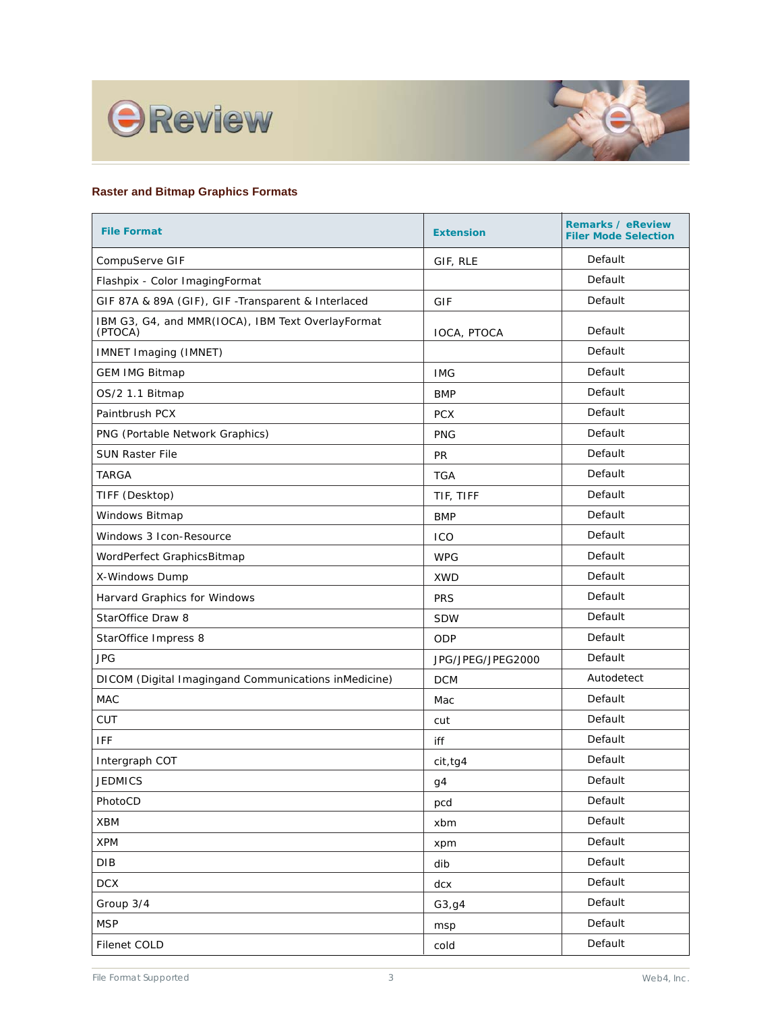



# **Raster and Bitmap Graphics Formats**

| <b>File Format</b>                                           | <b>Extension</b>  | <b>Remarks / eReview</b><br><b>Filer Mode Selection</b> |
|--------------------------------------------------------------|-------------------|---------------------------------------------------------|
| CompuServe GIF                                               | GIF, RLE          | Default                                                 |
| Flashpix - Color ImagingFormat                               |                   | Default                                                 |
| GIF 87A & 89A (GIF), GIF -Transparent & Interlaced           | GIF               | Default                                                 |
| IBM G3, G4, and MMR(IOCA), IBM Text OverlayFormat<br>(PTOCA) | IOCA, PTOCA       | Default                                                 |
| IMNET Imaging (IMNET)                                        |                   | Default                                                 |
| <b>GEM IMG Bitmap</b>                                        | <b>IMG</b>        | Default                                                 |
| OS/2 1.1 Bitmap                                              | <b>BMP</b>        | Default                                                 |
| Paintbrush PCX                                               | <b>PCX</b>        | Default                                                 |
| PNG (Portable Network Graphics)                              | <b>PNG</b>        | Default                                                 |
| <b>SUN Raster File</b>                                       | <b>PR</b>         | Default                                                 |
| <b>TARGA</b>                                                 | <b>TGA</b>        | Default                                                 |
| TIFF (Desktop)                                               | TIF, TIFF         | Default                                                 |
| Windows Bitmap                                               | <b>BMP</b>        | Default                                                 |
| Windows 3 Icon-Resource                                      | ICO               | Default                                                 |
| WordPerfect GraphicsBitmap                                   | <b>WPG</b>        | Default                                                 |
| X-Windows Dump                                               | <b>XWD</b>        | Default                                                 |
| Harvard Graphics for Windows                                 | <b>PRS</b>        | Default                                                 |
| StarOffice Draw 8                                            | <b>SDW</b>        | Default                                                 |
| StarOffice Impress 8                                         | ODP               | Default                                                 |
| <b>JPG</b>                                                   | JPG/JPEG/JPEG2000 | Default                                                 |
| DICOM (Digital Imagingand Communications inMedicine)         | <b>DCM</b>        | Autodetect                                              |
| <b>MAC</b>                                                   | Mac               | Default                                                 |
| <b>CUT</b>                                                   | cut               | Default                                                 |
| IFF                                                          | iff               | Default                                                 |
| Intergraph COT                                               | cit, tq4          | Default                                                 |
| <b>JEDMICS</b>                                               | g4                | Default                                                 |
| PhotoCD                                                      | pcd               | Default                                                 |
| XBM                                                          | xbm               | Default                                                 |
| <b>XPM</b>                                                   | xpm               | Default                                                 |
| DIB                                                          | dib               | Default                                                 |
| <b>DCX</b>                                                   | dcx               | Default                                                 |
| Group 3/4                                                    | G3, g4            | Default                                                 |
| <b>MSP</b>                                                   | msp               | Default                                                 |
| Filenet COLD                                                 | cold              | Default                                                 |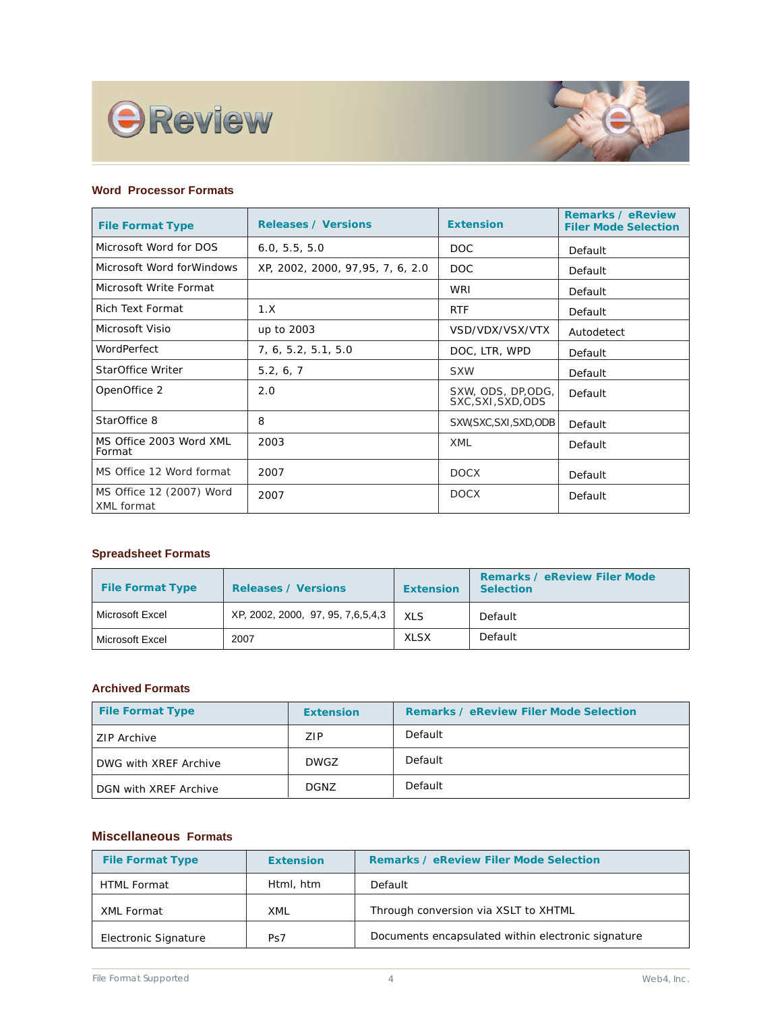



### **Word Processor Formats**

| <b>File Format Type</b>                | <b>Releases / Versions</b>       | <b>Extension</b>                         | <b>Remarks / eReview</b><br><b>Filer Mode Selection</b> |
|----------------------------------------|----------------------------------|------------------------------------------|---------------------------------------------------------|
| Microsoft Word for DOS                 | 6.0, 5.5, 5.0                    | DOC.                                     | Default                                                 |
| Microsoft Word for Windows             | XP, 2002, 2000, 97,95, 7, 6, 2.0 | DOC                                      | Default                                                 |
| Microsoft Write Format                 |                                  | WRI                                      | Default                                                 |
| Rich Text Format                       | 1.X                              | <b>RTF</b>                               | Default                                                 |
| Microsoft Visio                        | up to 2003                       | VSD/VDX/VSX/VTX                          | Autodetect                                              |
| WordPerfect                            | 7, 6, 5.2, 5.1, 5.0              | DOC, LTR, WPD                            | Default                                                 |
| StarOffice Writer                      | 5.2, 6, 7                        | <b>SXW</b>                               | Default                                                 |
| OpenOffice 2                           | 2.0                              | SXW, ODS, DP, ODG,<br>SXC, SXI, SXD, ODS | Default                                                 |
| StarOffice 8                           | 8                                | SXW, SXC, SXI, SXD, ODB                  | Default                                                 |
| MS Office 2003 Word XML<br>Format      | 2003                             | <b>XML</b>                               | Default                                                 |
| MS Office 12 Word format               | 2007                             | <b>DOCX</b>                              | Default                                                 |
| MS Office 12 (2007) Word<br>XML format | 2007                             | <b>DOCX</b>                              | Default                                                 |

#### **Spreadsheet Formats**

| <b>File Format Type</b> | <b>Releases / Versions</b>        | <b>Extension</b> | <b>Remarks / eReview Filer Mode</b><br><b>Selection</b> |
|-------------------------|-----------------------------------|------------------|---------------------------------------------------------|
| Microsoft Excel         | XP, 2002, 2000, 97, 95, 7,6,5,4,3 | XI S             | Default                                                 |
| Microsoft Excel         | 2007                              | <b>XLSX</b>      | Default                                                 |

### **Archived Formats**

| <b>File Format Type</b> | <b>Extension</b> | <b>Remarks / eReview Filer Mode Selection</b> |
|-------------------------|------------------|-----------------------------------------------|
| <b>ZIP Archive</b>      | ZIP.             | Default                                       |
| DWG with XREF Archive   | <b>DWGZ</b>      | Default                                       |
| DGN with XREF Archive   | DGNZ             | Default                                       |

## **Miscellaneous Formats**

| <b>File Format Type</b> | <b>Extension</b> | <b>Remarks / eReview Filer Mode Selection</b>      |
|-------------------------|------------------|----------------------------------------------------|
| <b>HTML Format</b>      | Html, htm        | Default                                            |
| XML Format              | XML              | Through conversion via XSLT to XHTML               |
| Electronic Signature    | Ps7              | Documents encapsulated within electronic signature |